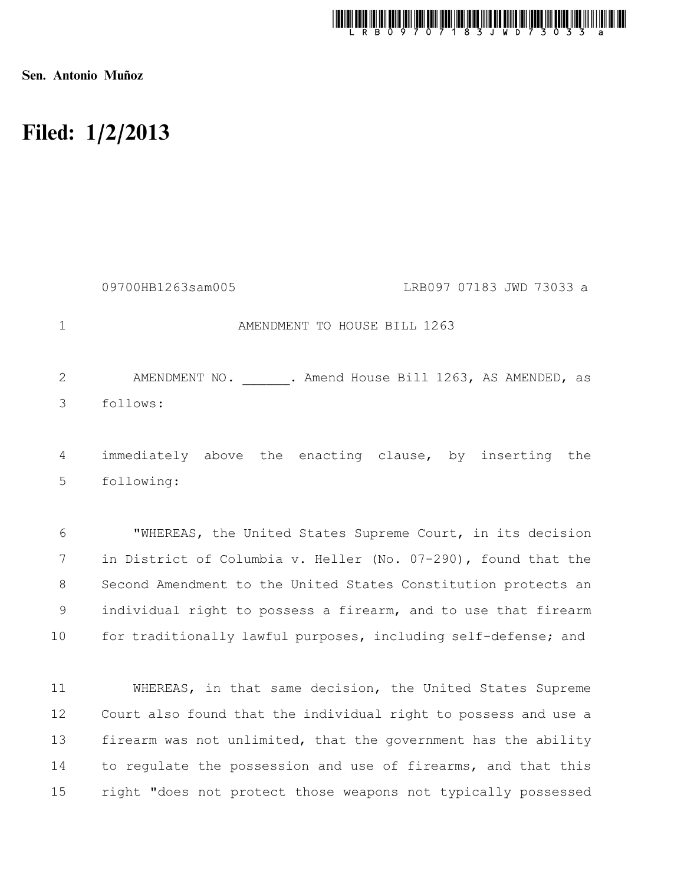

Sen. Antonio Muñoz

## Filed: 1/2/2013

|                | LRB097 07183 JWD 73033 a<br>09700HB1263sam005                         |
|----------------|-----------------------------------------------------------------------|
| $\mathbf{1}$   | AMENDMENT TO HOUSE BILL 1263                                          |
| 2<br>3         | AMENDMENT NO. . Amend House Bill 1263, AS AMENDED, as<br>follows:     |
| 4<br>5         | immediately above the enacting clause, by inserting the<br>following: |
| 6              | "WHEREAS, the United States Supreme Court, in its decision            |
| 7              | in District of Columbia v. Heller (No. 07-290), found that the        |
| 8              | Second Amendment to the United States Constitution protects an        |
| $\overline{9}$ | individual right to possess a firearm, and to use that firearm        |
| 10             | for traditionally lawful purposes, including self-defense; and        |
| 11             | WHEREAS, in that same decision, the United States Supreme             |

Court also found that the individual right to possess and use a firearm was not unlimited, that the government has the ability to regulate the possession and use of firearms, and that this right "does not protect those weapons not typically possessed 12 13 14 15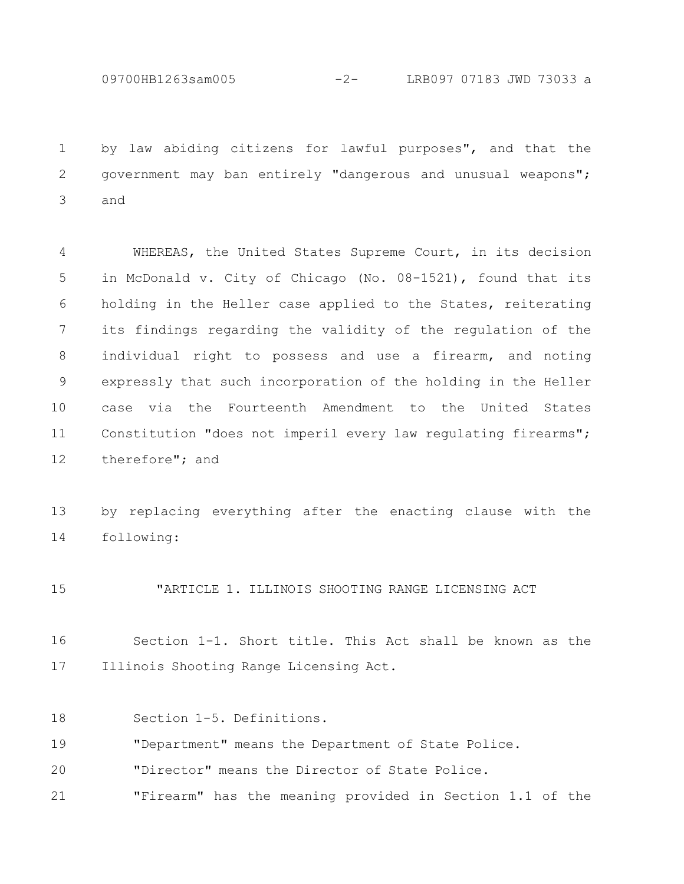09700HB1263sam005 -2- LRB097 07183 JWD 73033 a

by law abiding citizens for lawful purposes", and that the government may ban entirely "dangerous and unusual weapons"; and 1 2 3

WHEREAS, the United States Supreme Court, in its decision in McDonald v. City of Chicago (No. 08-1521), found that its holding in the Heller case applied to the States, reiterating its findings regarding the validity of the regulation of the individual right to possess and use a firearm, and noting expressly that such incorporation of the holding in the Heller case via the Fourteenth Amendment to the United States Constitution "does not imperil every law regulating firearms"; therefore"; and 4 5 6 7 8 9 10 11 12

by replacing everything after the enacting clause with the following: 13 14

"ARTICLE 1. ILLINOIS SHOOTING RANGE LICENSING ACT 15

Section 1-1. Short title. This Act shall be known as the Illinois Shooting Range Licensing Act. 16 17

Section 1-5. Definitions. 18

"Department" means the Department of State Police. 19

"Director" means the Director of State Police. 20

"Firearm" has the meaning provided in Section 1.1 of the 21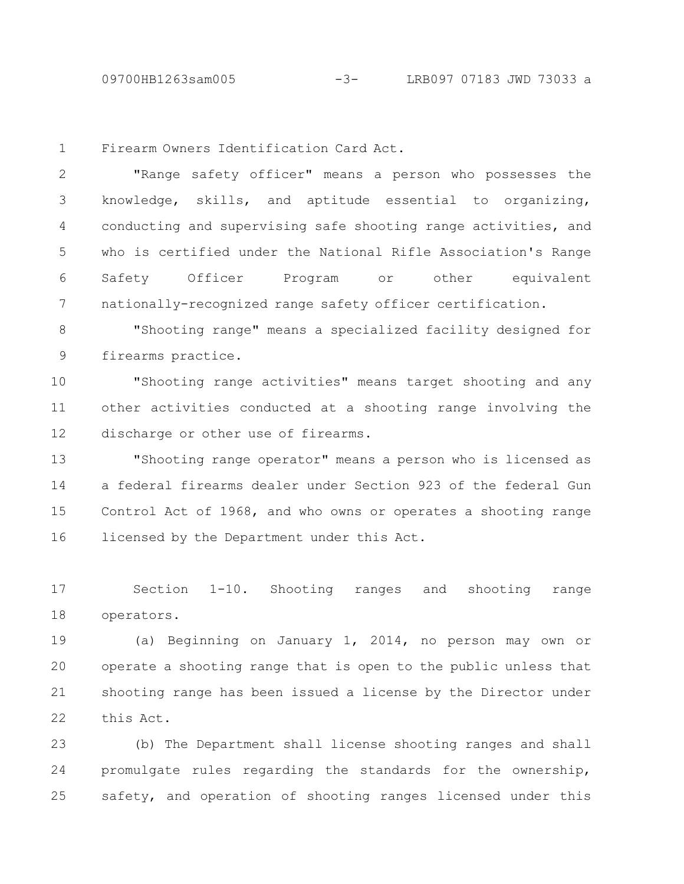09700HB1263sam005 -3- LRB097 07183 JWD 73033 a

Firearm Owners Identification Card Act. 1

"Range safety officer" means a person who possesses the knowledge, skills, and aptitude essential to organizing, conducting and supervising safe shooting range activities, and who is certified under the National Rifle Association's Range Safety Officer Program or other equivalent nationally-recognized range safety officer certification. 2 3 4 5 6 7

"Shooting range" means a specialized facility designed for firearms practice. 8 9

"Shooting range activities" means target shooting and any other activities conducted at a shooting range involving the discharge or other use of firearms. 10 11 12

"Shooting range operator" means a person who is licensed as a federal firearms dealer under Section 923 of the federal Gun Control Act of 1968, and who owns or operates a shooting range licensed by the Department under this Act. 13 14 15 16

Section 1-10. Shooting ranges and shooting range operators. 17 18

(a) Beginning on January 1, 2014, no person may own or operate a shooting range that is open to the public unless that shooting range has been issued a license by the Director under this Act. 19 20 21 22

(b) The Department shall license shooting ranges and shall promulgate rules regarding the standards for the ownership, safety, and operation of shooting ranges licensed under this 23 24 25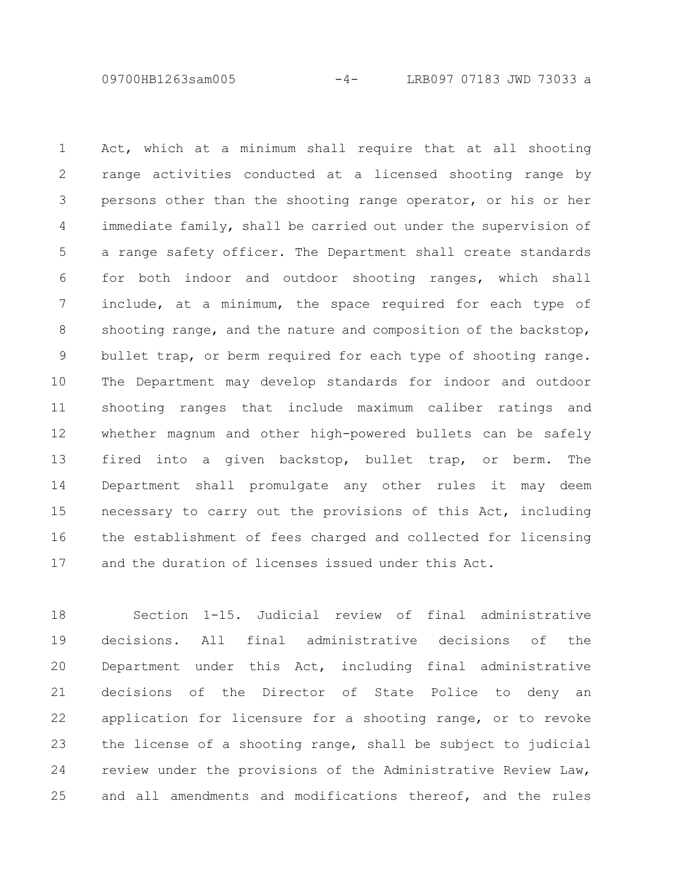09700HB1263sam005 -4- LRB097 07183 JWD 73033 a

Act, which at a minimum shall require that at all shooting range activities conducted at a licensed shooting range by persons other than the shooting range operator, or his or her immediate family, shall be carried out under the supervision of a range safety officer. The Department shall create standards for both indoor and outdoor shooting ranges, which shall include, at a minimum, the space required for each type of shooting range, and the nature and composition of the backstop, bullet trap, or berm required for each type of shooting range. The Department may develop standards for indoor and outdoor shooting ranges that include maximum caliber ratings and whether magnum and other high-powered bullets can be safely fired into a given backstop, bullet trap, or berm. The Department shall promulgate any other rules it may deem necessary to carry out the provisions of this Act, including the establishment of fees charged and collected for licensing and the duration of licenses issued under this Act. 1 2 3 4 5 6 7 8 9 10 11 12 13 14 15 16 17

Section 1-15. Judicial review of final administrative decisions. All final administrative decisions of the Department under this Act, including final administrative decisions of the Director of State Police to deny an application for licensure for a shooting range, or to revoke the license of a shooting range, shall be subject to judicial review under the provisions of the Administrative Review Law, and all amendments and modifications thereof, and the rules 18 19 20 21 22 23 24 25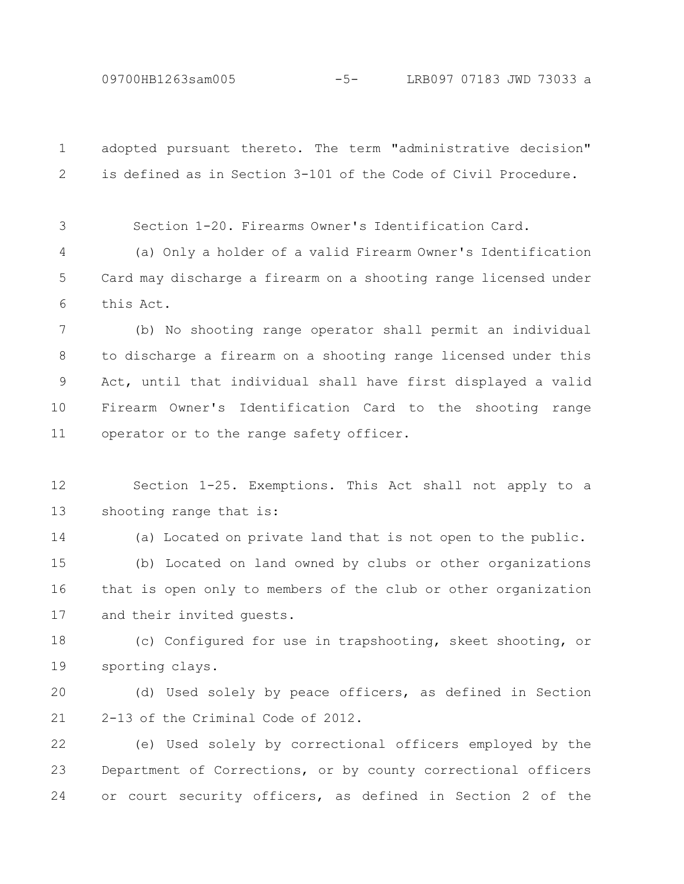09700HB1263sam005 -5- LRB097 07183 JWD 73033 a

adopted pursuant thereto. The term "administrative decision" is defined as in Section 3-101 of the Code of Civil Procedure. Section 1-20. Firearms Owner's Identification Card. (a) Only a holder of a valid Firearm Owner's Identification Card may discharge a firearm on a shooting range licensed under this Act. (b) No shooting range operator shall permit an individual to discharge a firearm on a shooting range licensed under this Act, until that individual shall have first displayed a valid Firearm Owner's Identification Card to the shooting range operator or to the range safety officer. Section 1-25. Exemptions. This Act shall not apply to a shooting range that is: (a) Located on private land that is not open to the public. (b) Located on land owned by clubs or other organizations that is open only to members of the club or other organization and their invited guests. (c) Configured for use in trapshooting, skeet shooting, or 1 2 3  $\Delta$ 5 6 7 8 9 10 11 12 13 14 15 16 17 18

sporting clays. 19

(d) Used solely by peace officers, as defined in Section 2-13 of the Criminal Code of 2012. 20 21

(e) Used solely by correctional officers employed by the Department of Corrections, or by county correctional officers or court security officers, as defined in Section 2 of the 22 23 24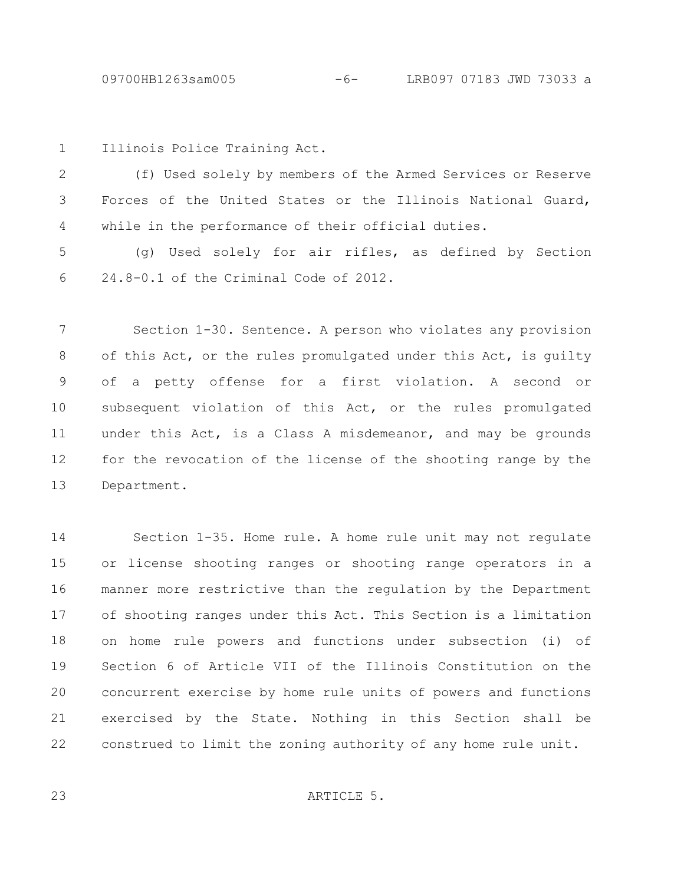Illinois Police Training Act. 1

(f) Used solely by members of the Armed Services or Reserve Forces of the United States or the Illinois National Guard, while in the performance of their official duties. 2 3 4

(g) Used solely for air rifles, as defined by Section 24.8-0.1 of the Criminal Code of 2012. 5 6

Section 1-30. Sentence. A person who violates any provision of this Act, or the rules promulgated under this Act, is guilty of a petty offense for a first violation. A second or subsequent violation of this Act, or the rules promulgated under this Act, is a Class A misdemeanor, and may be grounds for the revocation of the license of the shooting range by the Department. 7 8 9 10 11 12 13

Section 1-35. Home rule. A home rule unit may not regulate or license shooting ranges or shooting range operators in a manner more restrictive than the regulation by the Department of shooting ranges under this Act. This Section is a limitation on home rule powers and functions under subsection (i) of Section 6 of Article VII of the Illinois Constitution on the concurrent exercise by home rule units of powers and functions exercised by the State. Nothing in this Section shall be construed to limit the zoning authority of any home rule unit. 14 15 16 17 18 19 20 21 22

23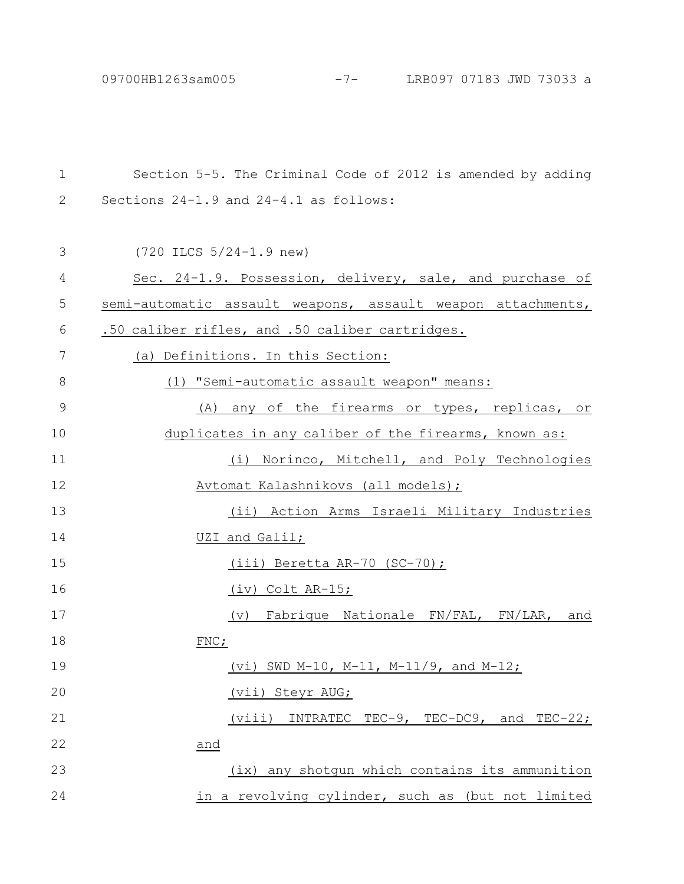| 1  | Section 5-5. The Criminal Code of 2012 is amended by adding |
|----|-------------------------------------------------------------|
| 2  | Sections 24-1.9 and 24-4.1 as follows:                      |
|    |                                                             |
| 3  | $(720$ ILCS $5/24-1.9$ new)                                 |
| 4  | Sec. 24-1.9. Possession, delivery, sale, and purchase of    |
| 5  | semi-automatic assault weapons, assault weapon attachments, |
| 6  | .50 caliber rifles, and .50 caliber cartridges.             |
| 7  | (a) Definitions. In this Section:                           |
| 8  | (1) "Semi-automatic assault weapon" means:                  |
| 9  | any of the firearms or types, replicas, or<br>(A)           |
| 10 | duplicates in any caliber of the firearms, known as:        |
| 11 | (i) Norinco, Mitchell, and Poly Technologies                |
| 12 | Avtomat Kalashnikovs (all models);                          |
| 13 | (ii) Action Arms Israeli Military Industries                |
| 14 | UZI and Galil;                                              |
| 15 | (iii) Beretta AR-70 (SC-70);                                |
| 16 | (iv) Colt AR-15;                                            |
| 17 | (v) Fabrique Nationale FN/FAL, FN/LAR, and                  |
| 18 | FNC;                                                        |
| 19 | (vi) SWD M-10, M-11, M-11/9, and M-12;                      |
| 20 | (vii) Steyr AUG;                                            |
| 21 | (viii) INTRATEC TEC-9, TEC-DC9, and TEC-22;                 |
| 22 | and                                                         |
| 23 | (ix) any shotqun which contains its ammunition              |
| 24 | in a revolving cylinder, such as (but not limited           |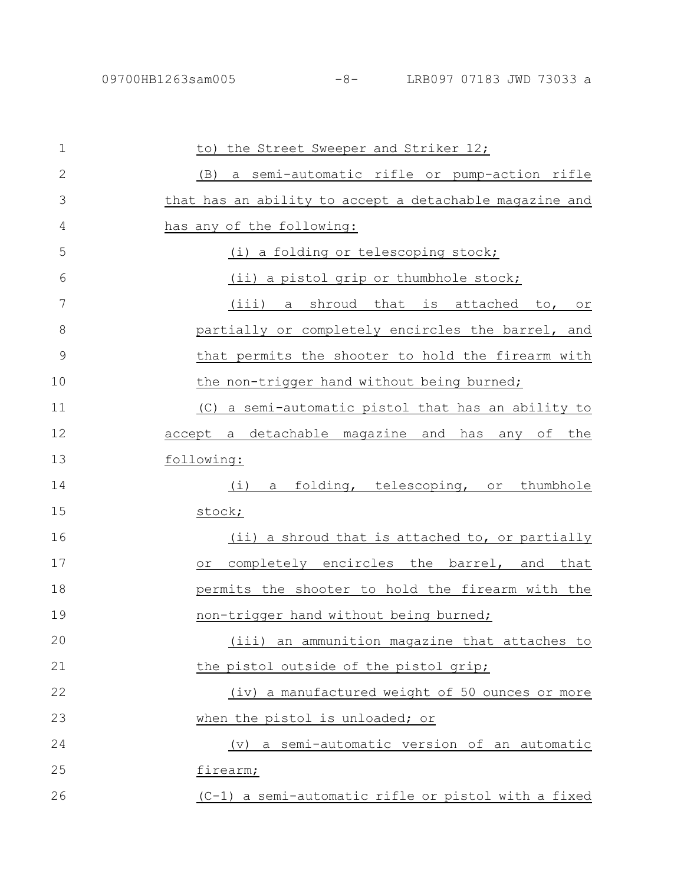| $\mathbf{1}$   | to) the Street Sweeper and Striker 12;                        |
|----------------|---------------------------------------------------------------|
| $\overline{2}$ | a semi-automatic rifle or pump-action rifle<br>(B)            |
| 3              | that has an ability to accept a detachable magazine and       |
| 4              | has any of the following:                                     |
| 5              | (i) a folding or telescoping stock;                           |
| 6              | (ii) a pistol grip or thumbhole stock;                        |
| 7              | (iii) a shroud that is attached to, or                        |
| 8              | partially or completely encircles the barrel, and             |
| 9              | that permits the shooter to hold the firearm with             |
| 10             | the non-trigger hand without being burned;                    |
| 11             | (C) a semi-automatic pistol that has an ability to            |
| 12             | accept a detachable magazine and has any of the               |
| 13             | following:                                                    |
| 14             | folding, telescoping, or thumbhole<br>(i)<br>a                |
| 15             | stock;                                                        |
| 16             | (ii) a shroud that is attached to, or partially               |
| 17             | completely encircles the barrel, and that<br>0r i             |
| 18             | permits the shooter to hold the firearm with the              |
| 19             | non-trigger hand without being burned;                        |
| 20             | (iii)<br>an ammunition magazine that attaches to              |
| 21             | the pistol outside of the pistol grip;                        |
| 22             | (iv) a manufactured weight of 50 ounces or more               |
| 23             | when the pistol is unloaded; or                               |
| 24             | a semi-automatic version of an automatic<br>$(\triangledown)$ |
| 25             | firearm;                                                      |
| 26             | (C-1) a semi-automatic rifle or pistol with a fixed           |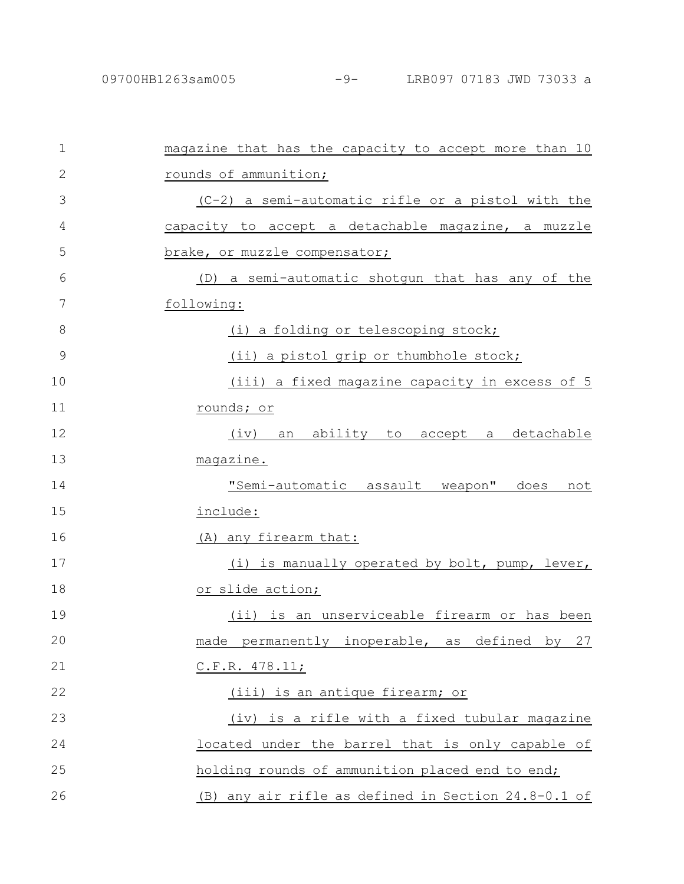## 09700HB1263sam005 -9- LRB097 07183 JWD 73033 a

| $\mathbf 1$  | magazine that has the capacity to accept more than 10 |
|--------------|-------------------------------------------------------|
| $\mathbf{2}$ | rounds of ammunition;                                 |
| 3            | (C-2) a semi-automatic rifle or a pistol with the     |
| 4            | capacity to accept a detachable magazine, a muzzle    |
| 5            | brake, or muzzle compensator;                         |
| 6            | (D) a semi-automatic shotgun that has any of the      |
| 7            | following:                                            |
| 8            | (i) a folding or telescoping stock;                   |
| 9            | (ii) a pistol grip or thumbhole stock;                |
| 10           | (iii) a fixed magazine capacity in excess of 5        |
| 11           | rounds; or                                            |
| 12           | an ability to accept a detachable<br>(iv)             |
| 13           | magazine.                                             |
| 14           | "Semi-automatic assault weapon"<br>does<br>not        |
| 15           | include:                                              |
| 16           | (A) any firearm that:                                 |
| 17           | (i) is manually operated by bolt, pump, lever,        |
| 18           | or slide action;                                      |
| 19           | (ii) is an unserviceable firearm or has been          |
| 20           | made permanently inoperable, as defined by<br>27      |
| 21           | C.F.R. 478.11;                                        |
| 22           | (iii) is an antique firearm; or                       |
| 23           | (iv) is a rifle with a fixed tubular magazine         |
| 24           | located under the barrel that is only capable of      |
| 25           | holding rounds of ammunition placed end to end;       |
| 26           | (B) any air rifle as defined in Section 24.8-0.1 of   |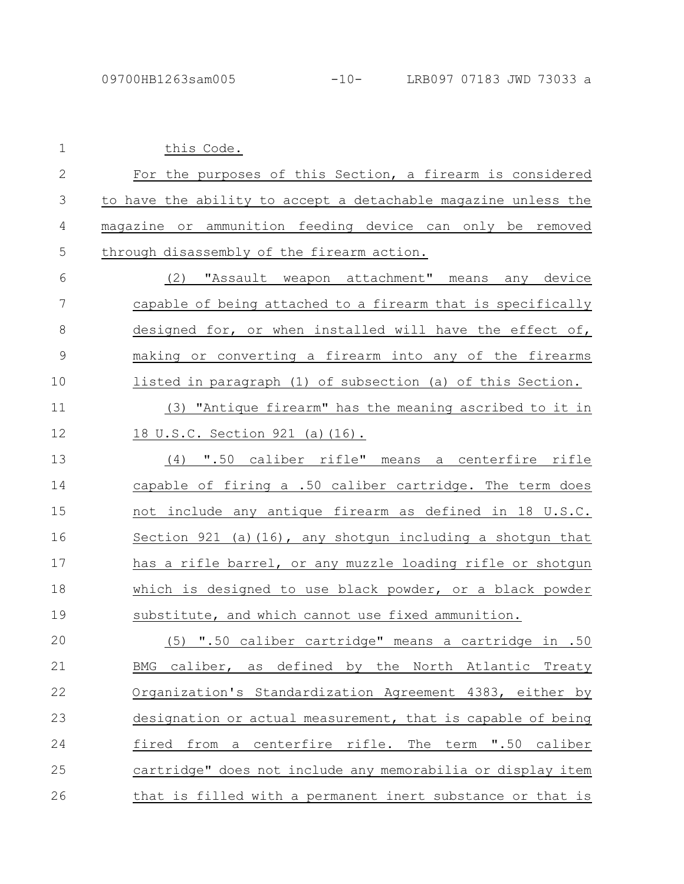| $\mathbf 1$    | this Code.                                                     |
|----------------|----------------------------------------------------------------|
| $\mathbf{2}$   | For the purposes of this Section, a firearm is considered      |
| 3              | to have the ability to accept a detachable magazine unless the |
| 4              | magazine or ammunition feeding device can only be removed      |
| 5              | through disassembly of the firearm action.                     |
| 6              | (2) "Assault weapon attachment" means any device               |
| 7              | capable of being attached to a firearm that is specifically    |
| 8              | designed for, or when installed will have the effect of,       |
| $\overline{9}$ | making or converting a firearm into any of the firearms        |
| 10             | listed in paragraph (1) of subsection (a) of this Section.     |
| 11             | (3) "Antique firearm" has the meaning ascribed to it in        |
| 12             | 18 U.S.C. Section 921 (a) (16).                                |
| 13             | (4) ".50 caliber rifle" means a centerfire rifle               |
| 14             | capable of firing a .50 caliber cartridge. The term does       |
| 15             | not include any antique firearm as defined in 18 U.S.C.        |
| 16             | Section 921 (a) (16), any shotgun including a shotgun that     |
| 17             | has a rifle barrel, or any muzzle loading rifle or shotgun     |
| 18             | which is designed to use black powder, or a black powder       |
| 19             | substitute, and which cannot use fixed ammunition.             |
| 20             | $"$ .50<br>caliber cartridge" means a cartridge in .50<br>(5)  |
| 21             | BMG caliber, as defined by the North Atlantic Treaty           |
| 22             | Organization's Standardization Agreement 4383, either by       |
| 23             | designation or actual measurement, that is capable of being    |
| 24             | fired from a centerfire rifle. The term ".50 caliber           |
| 25             | cartridge" does not include any memorabilia or display item    |
| 26             | that is filled with a permanent inert substance or that is     |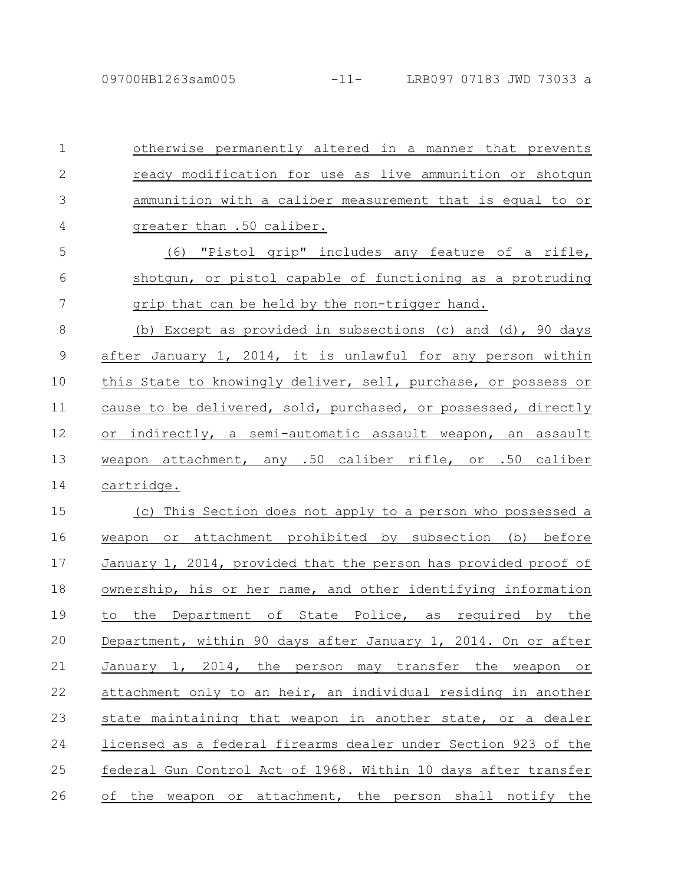otherwise permanently altered in a manner that prevents ready modification for use as live ammunition or shotgun ammunition with a caliber measurement that is equal to or greater than .50 caliber. (6) "Pistol grip" includes any feature of a rifle, shotgun, or pistol capable of functioning as a protruding grip that can be held by the non-trigger hand. (b) Except as provided in subsections (c) and (d), 90 days after January 1, 2014, it is unlawful for any person within this State to knowingly deliver, sell, purchase, or possess or cause to be delivered, sold, purchased, or possessed, directly or indirectly, a semi-automatic assault weapon, an assault weapon attachment, any .50 caliber rifle, or .50 caliber cartridge. (c) This Section does not apply to a person who possessed a weapon or attachment prohibited by subsection (b) before January 1, 2014, provided that the person has provided proof of ownership, his or her name, and other identifying information to the Department of State Police, as required by the Department, within 90 days after January 1, 2014. On or after January 1, 2014, the person may transfer the weapon or attachment only to an heir, an individual residing in another state maintaining that weapon in another state, or a dealer licensed as a federal firearms dealer under Section 923 of the federal Gun Control Act of 1968. Within 10 days after transfer of the weapon or attachment, the person shall notify the 1 2 3 4 5 6 7 8 9 10 11 12 13 14 15 16 17 18 19 20 21 22 23 24 25 26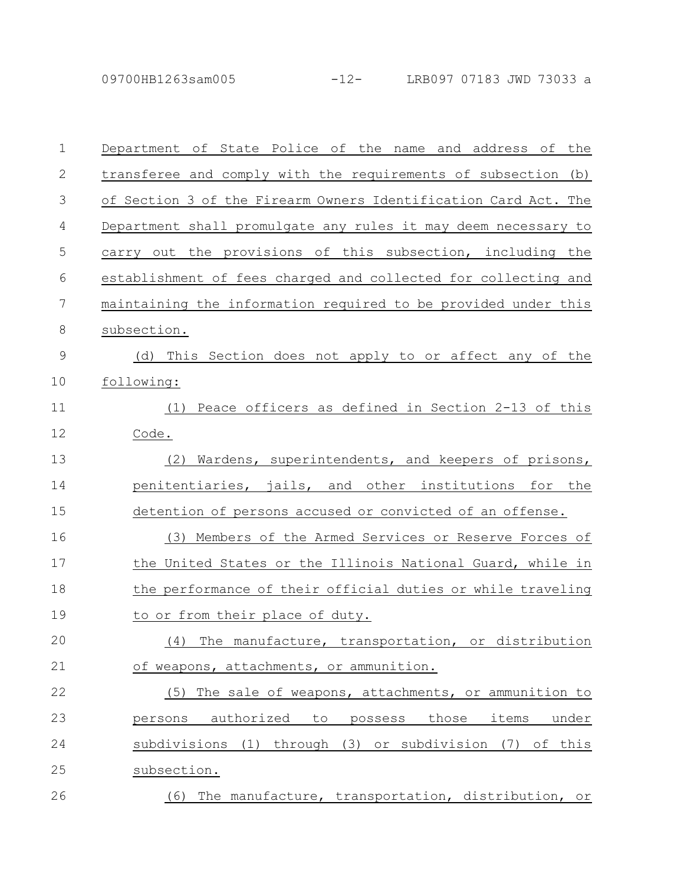09700HB1263sam005 -12- LRB097 07183 JWD 73033 a

| $\mathbf{1}$ | Department of State Police of the name and address of the         |
|--------------|-------------------------------------------------------------------|
| $\mathbf{2}$ | transferee and comply with the requirements of subsection (b)     |
| 3            | of Section 3 of the Firearm Owners Identification Card Act. The   |
| 4            | Department shall promulgate any rules it may deem necessary to    |
| 5            | carry out the provisions of this subsection, including the        |
| 6            | establishment of fees charged and collected for collecting and    |
| 7            | maintaining the information required to be provided under this    |
| 8            | subsection.                                                       |
| 9            | This Section does not apply to or affect any of the<br>(d)        |
| 10           | following:                                                        |
| 11           | (1) Peace officers as defined in Section 2-13 of this             |
| 12           | Code.                                                             |
| 13           | Wardens, superintendents, and keepers of prisons,<br>(2)          |
| 14           | penitentiaries, jails, and other institutions for the             |
| 15           | detention of persons accused or convicted of an offense.          |
| 16           | (3) Members of the Armed Services or Reserve Forces of            |
| 17           | the United States or the Illinois National Guard, while in        |
| 18           | the performance of their official duties or while traveling       |
| 19           | to or from their place of duty.                                   |
| 20           | The manufacture, transportation, or distribution<br>(4)           |
| 21           | of weapons, attachments, or ammunition.                           |
| 22           | (5) The sale of weapons, attachments, or ammunition to            |
| 23           | authorized<br>items<br>those<br>under<br>to<br>possess<br>persons |
| 24           | subdivisions (1) through (3) or subdivision (7) of this           |
| 25           | subsection.                                                       |
| 26           | The manufacture, transportation, distribution, or<br>(6)          |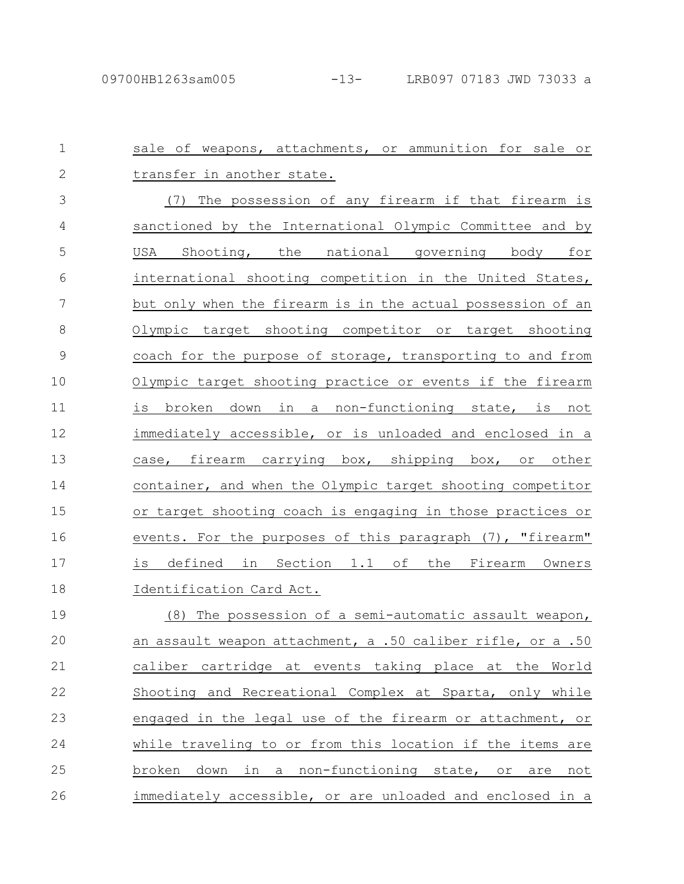sale of weapons, attachments, or ammunition for sale or transfer in another state. (7) The possession of any firearm if that firearm is sanctioned by the International Olympic Committee and by USA Shooting, the national governing body for international shooting competition in the United States, but only when the firearm is in the actual possession of an Olympic target shooting competitor or target shooting coach for the purpose of storage, transporting to and from Olympic target shooting practice or events if the firearm is broken down in a non-functioning state, is not immediately accessible, or is unloaded and enclosed in a case, firearm carrying box, shipping box, or other container, and when the Olympic target shooting competitor or target shooting coach is engaging in those practices or events. For the purposes of this paragraph (7), "firearm" is defined in Section 1.1 of the Firearm Owners Identification Card Act. (8) The possession of a semi-automatic assault weapon, an assault weapon attachment, a .50 caliber rifle, or a .50 caliber cartridge at events taking place at the World Shooting and Recreational Complex at Sparta, only while engaged in the legal use of the firearm or attachment, or while traveling to or from this location if the items are broken down in a non-functioning state, or are not 1 2 3 4 5 6 7 8 9 10 11 12 13 14 15 16 17 18 19 20 21 22 23 24 25

immediately accessible, or are unloaded and enclosed in a 26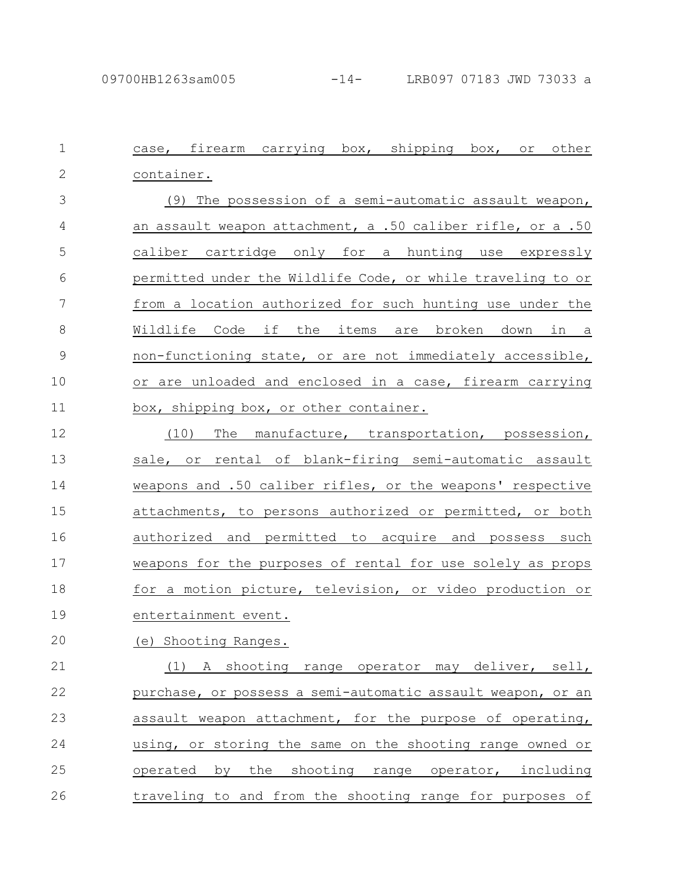| $\mathbf 1$   | case, firearm carrying box, shipping box, or other          |
|---------------|-------------------------------------------------------------|
| $\mathbf{2}$  | container.                                                  |
| 3             | (9) The possession of a semi-automatic assault weapon,      |
| 4             | an assault weapon attachment, a .50 caliber rifle, or a .50 |
| 5             | caliber cartridge only for a hunting use expressly          |
| 6             | permitted under the Wildlife Code, or while traveling to or |
| 7             | from a location authorized for such hunting use under the   |
| $\,8\,$       | Wildlife Code if the items are broken down in a             |
| $\mathcal{G}$ | non-functioning state, or are not immediately accessible,   |
| 10            | or are unloaded and enclosed in a case, firearm carrying    |
| 11            | box, shipping box, or other container.                      |
| 12            | (10)<br>The manufacture, transportation, possession,        |
| 13            | sale, or rental of blank-firing semi-automatic assault      |
| 14            | weapons and .50 caliber rifles, or the weapons' respective  |
| 15            | attachments, to persons authorized or permitted, or both    |
| 16            | authorized and permitted to acquire and possess such        |
| 17            | weapons for the purposes of rental for use solely as props  |
| 18            | for a motion picture, television, or video production or    |
| 19            | entertainment event.                                        |
| 20            | (e) Shooting Ranges.                                        |
| 21            | (1) A shooting range operator may deliver, sell,            |
| 22            | purchase, or possess a semi-automatic assault weapon, or an |
| 23            | assault weapon attachment, for the purpose of operating,    |
| 24            | using, or storing the same on the shooting range owned or   |
| 25            | operated by the shooting range operator, including          |
| 26            | traveling to and from the shooting range for purposes of    |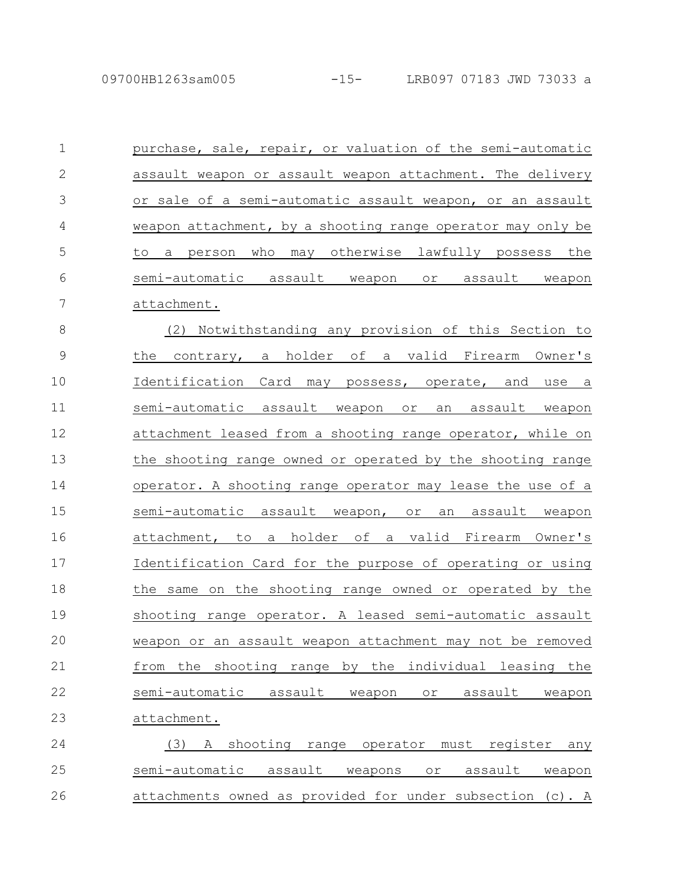| $\mathbf 1$    | purchase, sale, repair, or valuation of the semi-automatic      |
|----------------|-----------------------------------------------------------------|
| $\mathbf{2}$   | assault weapon or assault weapon attachment. The delivery       |
| 3              | or sale of a semi-automatic assault weapon, or an assault       |
| $\overline{4}$ | weapon attachment, by a shooting range operator may only be     |
| 5              | to a person who may otherwise lawfully possess the              |
| 6              | semi-automatic assault weapon or assault weapon                 |
| $\overline{7}$ | attachment.                                                     |
| $\,8\,$        | (2) Notwithstanding any provision of this Section to            |
| $\mathcal{G}$  | contrary, a holder of a valid Firearm Owner's<br>the            |
| 10             | Identification Card may possess, operate, and<br>use_a          |
| 11             | semi-automatic assault weapon or<br>an assault weapon           |
| 12             | attachment leased from a shooting range operator, while on      |
| 13             | the shooting range owned or operated by the shooting range      |
| 14             | operator. A shooting range operator may lease the use of a      |
| 15             | semi-automatic assault weapon, or an assault weapon             |
| 16             | attachment, to a holder of a valid Firearm Owner's              |
| 17             | Identification Card for the purpose of operating or using       |
| 18             | the same on the shooting range owned or operated by the         |
| 19             | shooting range operator. A leased semi-automatic assault        |
| 20             | weapon or an assault weapon attachment may not be removed       |
| 21             | from the shooting range by the individual leasing the           |
| 22             | semi-automatic<br>assault<br>or<br>assault<br>weapon<br>weapon  |
| 23             | attachment.                                                     |
| 24             | shooting range operator<br>(3)<br>must register any<br>A        |
| 25             | semi-automatic<br>assault<br>weapons<br>assault<br>or<br>weapon |
| 26             | attachments owned as provided for under subsection (c). A       |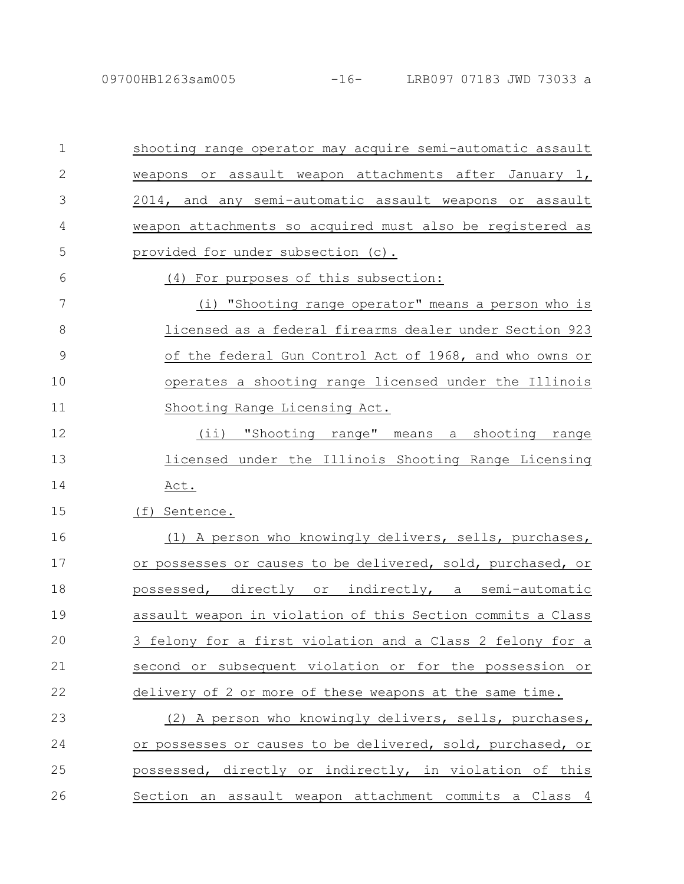26

shooting range operator may acquire semi-automatic assault weapons or assault weapon attachments after January 1, 2014, and any semi-automatic assault weapons or assault weapon attachments so acquired must also be registered as provided for under subsection (c). (4) For purposes of this subsection: (i) "Shooting range operator" means a person who is licensed as a federal firearms dealer under Section 923 of the federal Gun Control Act of 1968, and who owns or operates a shooting range licensed under the Illinois Shooting Range Licensing Act. (ii) "Shooting range" means a shooting range licensed under the Illinois Shooting Range Licensing Act. (f) Sentence. (1) A person who knowingly delivers, sells, purchases, or possesses or causes to be delivered, sold, purchased, or possessed, directly or indirectly, a semi-automatic assault weapon in violation of this Section commits a Class 3 felony for a first violation and a Class 2 felony for a second or subsequent violation or for the possession or delivery of 2 or more of these weapons at the same time. (2) A person who knowingly delivers, sells, purchases, or possesses or causes to be delivered, sold, purchased, or possessed, directly or indirectly, in violation of this 1 2 3 4 5 6 7 8 9 10 11 12 13 14 15 16 17 18 19 20 21 22 23 24 25

Section an assault weapon attachment commits a Class 4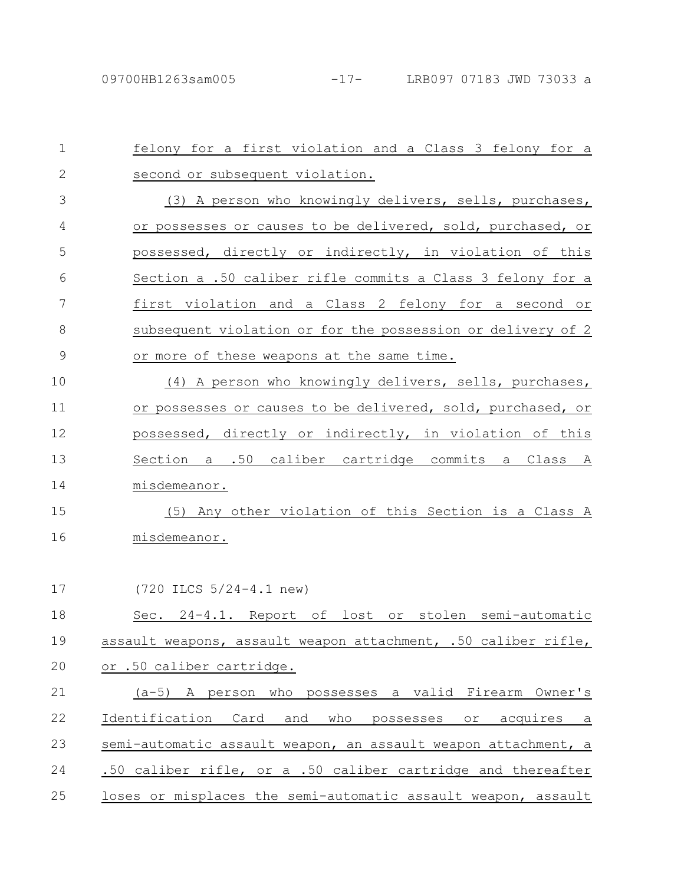| $\mathbf 1$   | felony for a first violation and a Class 3 felony for a                              |
|---------------|--------------------------------------------------------------------------------------|
| $\mathbf{2}$  | second or subsequent violation.                                                      |
| 3             | (3) A person who knowingly delivers, sells, purchases,                               |
| 4             | or possesses or causes to be delivered, sold, purchased, or                          |
| 5             | possessed, directly or indirectly, in violation of this                              |
| 6             | Section a .50 caliber rifle commits a Class 3 felony for a                           |
| 7             | first violation and a Class 2 felony for a second or                                 |
| 8             | subsequent violation or for the possession or delivery of 2                          |
| $\mathcal{G}$ | or more of these weapons at the same time.                                           |
| 10            | (4) A person who knowingly delivers, sells, purchases,                               |
| 11            | or possesses or causes to be delivered, sold, purchased, or                          |
| 12            | possessed, directly or indirectly, in violation of this                              |
| 13            | Section a .50 caliber cartridge commits a Class A                                    |
| 14            | misdemeanor.                                                                         |
| 15            | (5) Any other violation of this Section is a Class A                                 |
| 16            | misdemeanor.                                                                         |
|               |                                                                                      |
| 17            | $(720$ ILCS $5/24-4.1$ new)                                                          |
| 18            | Sec. 24-4.1. Report of lost or stolen semi-automatic                                 |
| 19            | assault weapons, assault weapon attachment, .50 caliber rifle,                       |
| 20            | or .50 caliber cartridge.                                                            |
| 21            | (a-5) A person who possesses a valid Firearm Owner's                                 |
| 22            | Identification<br>Card<br>who<br>and<br>acquires<br>possesses<br>O <sub>T</sub><br>a |
| 23            | semi-automatic assault weapon, an assault weapon attachment, a                       |
| 24            | .50 caliber rifle, or a .50 caliber cartridge and thereafter                         |
| 25            | loses or misplaces the semi-automatic assault weapon, assault                        |